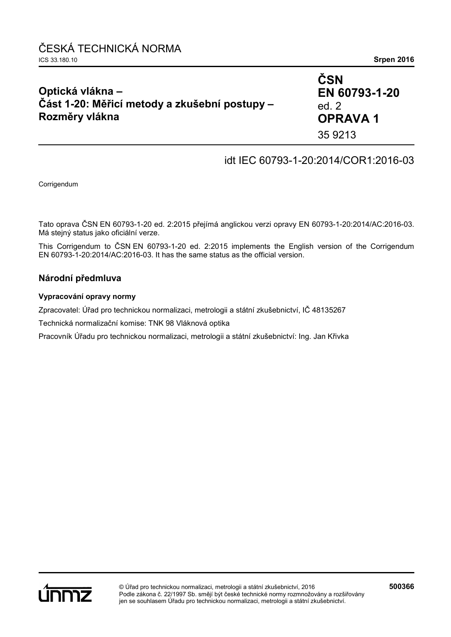# **Optická vlákna – Část 1-20: Měřicí metody a zkušební postupy – Rozměry vlákna**

**ČSN EN 60793-1-20** ed. 2 **OPRAVA 1** 35 9213

## idt IEC 60793-1-20:2014/COR1:2016-03

Corrigendum

Tato oprava ČSN EN 60793-1-20 ed. 2:2015 přejímá anglickou verzi opravy EN 60793-1-20:2014/AC:2016-03. Má stejný status jako oficiální verze.

This Corrigendum to ČSN EN 60793-1-20 ed. 2:2015 implements the English version of the Corrigendum EN 60793-1-20:2014/AC:2016-03. It has the same status as the official version.

## **Národní předmluva**

#### **Vypracování opravy normy**

Zpracovatel: Úřad pro technickou normalizaci, metrologii a státní zkušebnictví, IČ 48135267

Technická normalizační komise: TNK 98 Vláknová optika

Pracovník Úřadu pro technickou normalizaci, metrologii a státní zkušebnictví: Ing. Jan Křivka

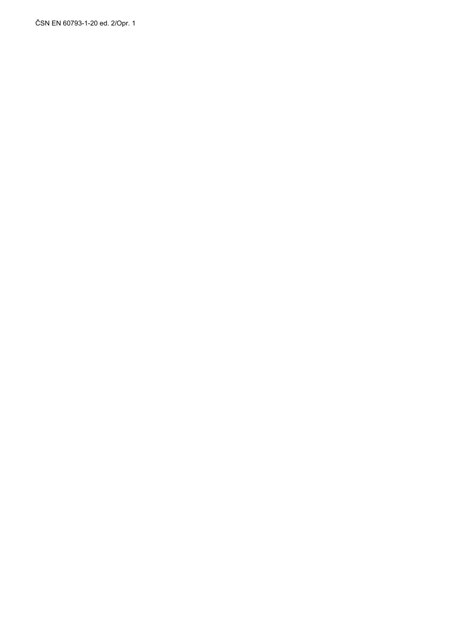ČSN EN 60793-1-20 ed. 2/Opr. 1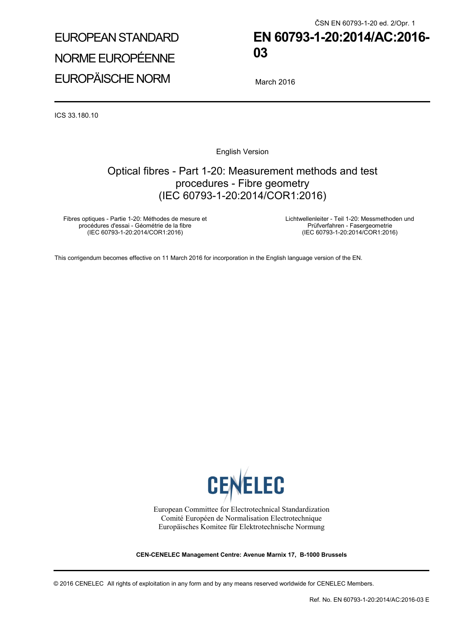# EUROPEAN STANDARD NORME EUROPÉENNE EUROPÄISCHE NORM

# **EN 60793-1-20:2014/AC:2016- 03**

March 2016

ICS 33.180.10

English Version

## Optical fibres - Part 1-20: Measurement methods and test procedures - Fibre geometry (IEC 60793-1-20:2014/COR1:2016)

Fibres optiques - Partie 1-20: Méthodes de mesure et procédures d'essai - Géométrie de la fibre (IEC 60793-1-20:2014/COR1:2016)

 Lichtwellenleiter - Teil 1-20: Messmethoden und Prüfverfahren - Fasergeometrie (IEC 60793-1-20:2014/COR1:2016)

This corrigendum becomes effective on 11 March 2016 for incorporation in the English language version of the EN.



European Committee for Electrotechnical Standardization Comité Européen de Normalisation Electrotechnique Europäisches Komitee für Elektrotechnische Normung

**CEN-CENELEC Management Centre: Avenue Marnix 17, B-1000 Brussels** 

© 2016 CENELEC All rights of exploitation in any form and by any means reserved worldwide for CENELEC Members.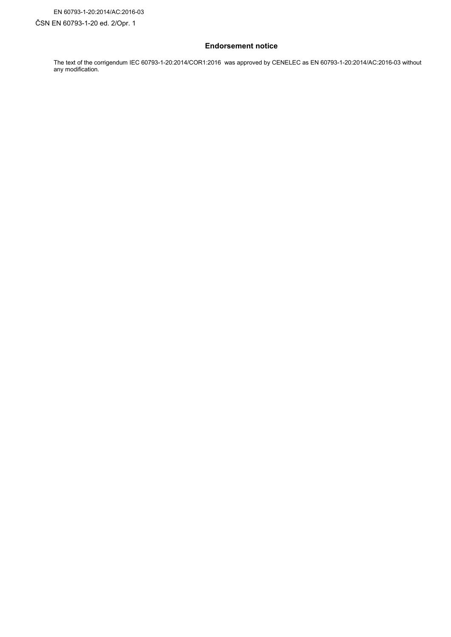EN 60793-1-20:2014/AC:2016-03

ČSN EN 60793-1-20 ed. 2/Opr. 1

#### **Endorsement notice**

The text of the corrigendum IEC 60793-1-20:2014/COR1:2016 was approved by CENELEC as EN 60793-1-20:2014/AC:2016-03 without any modification.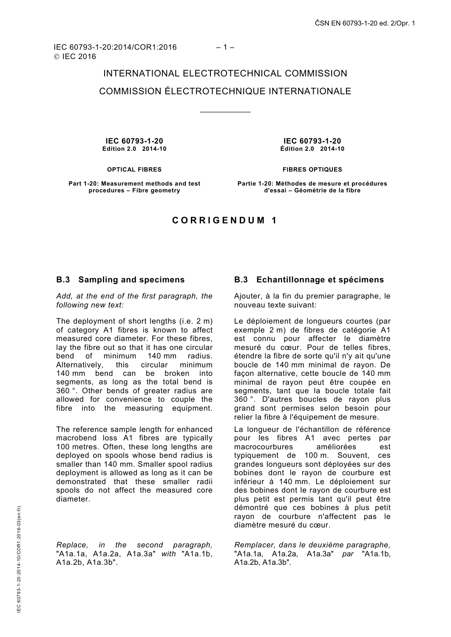IEC 60793-1-20:2014/COR1:2016 – 1 – © IEC 2016

# INTERNATIONAL ELECTROTECHNICAL COMMISSION COMMISSION ÉLECTROTECHNIQUE INTERNATIONALE

 $\overline{\phantom{a}}$ 

**IEC 60793-1-20 Edition 2.0 2014-10**

**OPTICAL FIBRES**

**Part 1-20: Measurement methods and test procedures – Fibre geometry**

**IEC 60793-1-20 Édition 2.0 2014-10**

**FIBRES OPTIQUES**

**Partie 1-20: Méthodes de mesure et procédures d'essai – Géométrie de la fibre**

## **CORRIGENDUM 1**

### **B.3 Sampling and specimens**

*Add, at the end of the first paragraph, the following new text:*

The deployment of short lengths (i.e. 2 m) of category A1 fibres is known to affect measured core diameter. For these fibres, lay the fibre out so that it has one circular bend of minimum 140 mm radius. Alternatively, this circular minimum 140 mm bend can be broken into segments, as long as the total bend is 360 °. Other bends of greater radius are allowed for convenience to couple the fibre into the measuring equipment.

The reference sample length for enhanced macrobend loss A1 fibres are typically 100 metres. Often, these long lengths are deployed on spools whose bend radius is smaller than 140 mm. Smaller spool radius deployment is allowed as long as it can be demonstrated that these smaller radii spools do not affect the measured core diameter.

*Replace, in the second paragraph,* "A1a.1a, A1a.2a, A1a.3a" *with* "A1a.1b, A1a.2b, A1a.3b".

## **B.3 Echantillonnage et spécimens**

Ajouter, à la fin du premier paragraphe, le nouveau texte suivant:

Le déploiement de longueurs courtes (par exemple 2 m) de fibres de catégorie A1 est connu pour affecter le diamètre mesuré du cœur. Pour de telles fibres, étendre la fibre de sorte qu'il n'y ait qu'une boucle de 140 mm minimal de rayon. De façon alternative, cette boucle de 140 mm minimal de rayon peut être coupée en segments, tant que la boucle totale fait 360 °. D'autres boucles de rayon plus grand sont permises selon besoin pour relier la fibre à l'équipement de mesure.

La longueur de l'échantillon de référence pour les fibres A1 avec pertes par<br>macrocourbures améliorées est macrocourbures améliorées est typiquement de 100 m. Souvent, ces grandes longueurs sont déployées sur des bobines dont le rayon de courbure est inférieur à 140 mm. Le déploiement sur des bobines dont le rayon de courbure est plus petit est permis tant qu'il peut être démontré que ces bobines à plus petit rayon de courbure n'affectent pas le diamètre mesuré du cœur.

*Remplacer, dans le deuxième paragraphe,* "A1a.1a, A1a.2a, A1a.3a" *par* "A1a.1b, A1a.2b, A1a.3b".